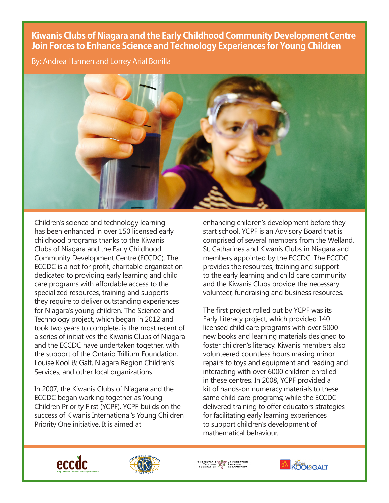## **Kiwanis Clubs of Niagara and the Early Childhood Community Development Centre Join Forces to Enhance Science and Technology Experiences for Young Children**

By: Andrea Hannen and Lorrey Arial Bonilla



Children's science and technology learning has been enhanced in over 150 licensed early childhood programs thanks to the Kiwanis Clubs of Niagara and the Early Childhood Community Development Centre (ECCDC). The ECCDC is a not for profit, charitable organization dedicated to providing early learning and child care programs with affordable access to the specialized resources, training and supports they require to deliver outstanding experiences for Niagara's young children. The Science and Technology project, which began in 2012 and took two years to complete, is the most recent of a series of initiatives the Kiwanis Clubs of Niagara and the ECCDC have undertaken together, with the support of the Ontario Trillium Foundation, Louise Kool & Galt, Niagara Region Children's Services, and other local organizations.

In 2007, the Kiwanis Clubs of Niagara and the ECCDC began working together as Young Children Priority First (YCPF). YCPF builds on the success of Kiwanis International's Young Children Priority One initiative. It is aimed at

enhancing children's development before they start school. YCPF is an Advisory Board that is comprised of several members from the Welland, St. Catharines and Kiwanis Clubs in Niagara and members appointed by the ECCDC. The ECCDC provides the resources, training and support to the early learning and child care community and the Kiwanis Clubs provide the necessary volunteer, fundraising and business resources.

The first project rolled out by YCPF was its Early Literacy project, which provided 140 licensed child care programs with over 5000 new books and learning materials designed to foster children's literacy. Kiwanis members also volunteered countless hours making minor repairs to toys and equipment and reading and interacting with over 6000 children enrolled in these centres. In 2008, YCPF provided a kit of hands-on numeracy materials to these same child care programs; while the ECCDC delivered training to offer educators strategies for facilitating early learning experiences to support children's development of mathematical behaviour.